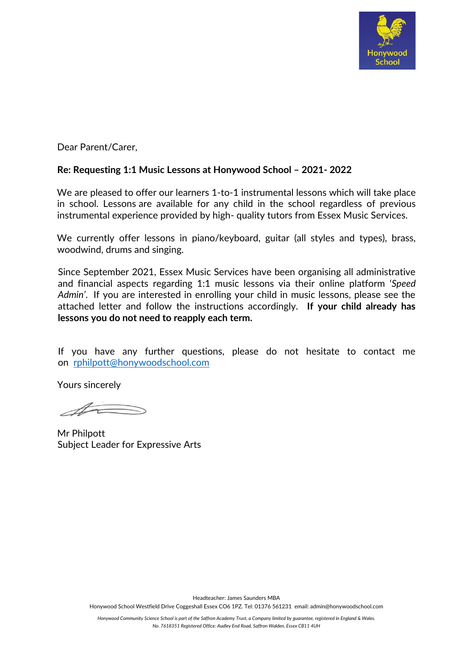

Dear Parent/Carer,

## **Re: Requesting 1:1 Music Lessons at Honywood School – 2021- 2022**

We are pleased to offer our learners 1-to-1 instrumental lessons which will take place in school. Lessons are available for any child in the school regardless of previous instrumental experience provided by high- quality tutors from Essex Music Services.

We currently offer lessons in piano/keyboard, guitar (all styles and types), brass, woodwind, drums and singing.

Since September 2021, Essex Music Services have been organising all administrative and financial aspects regarding 1:1 music lessons via their online platform '*Speed Admin'*. If you are interested in enrolling your child in music lessons, please see the attached letter and follow the instructions accordingly. **If your child already has lessons you do not need to reapply each term.** 

If you have any further questions, please do not hesitate to contact me on [rphilpott@honywoodschool.com](mailto:rphilpott@honywoodschool.com)

Yours sincerely

AF

Mr Philpott Subject Leader for Expressive Arts

Headteacher: James Saunders MBA

Honywood School Westfield Drive Coggeshall Essex CO6 1PZ. Tel: 01376 561231 email: admin@honywoodschool.com

*Honywood Community Science School is part of the Saffron Academy Trust, a Company limited by guarantee, registered in England & Wales. No. 7618351 Registered Office: Audley End Road, Saffron Walden, Essex CB11 4UH*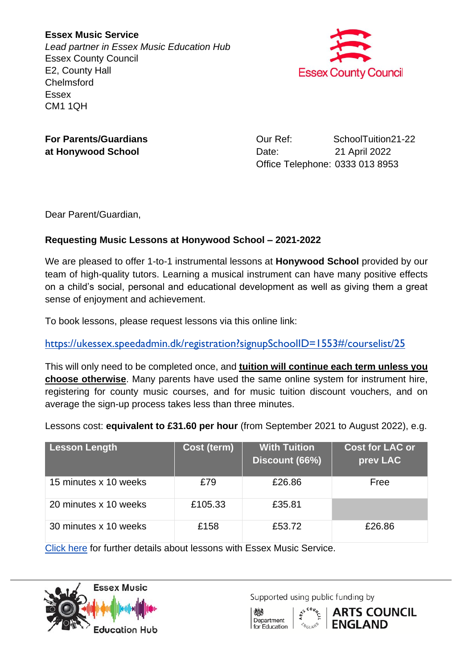**Essex Music Service** *Lead partner in Essex Music Education Hub* Essex County Council E2, County Hall **Chelmsford** Essex CM1 1QH



## **For Parents/Guardians at Honywood School**

Our Ref: SchoolTuition21-22 Date: 21 April 2022 Office Telephone: 0333 013 8953

Dear Parent/Guardian,

## **Requesting Music Lessons at Honywood School – 2021-2022**

We are pleased to offer 1-to-1 instrumental lessons at **Honywood School** provided by our team of high-quality tutors. Learning a musical instrument can have many positive effects on a child's social, personal and educational development as well as giving them a great sense of enjoyment and achievement.

To book lessons, please request lessons via this online link:

<https://ukessex.speedadmin.dk/registration?signupSchoolID=1553#/courselist/25>

This will only need to be completed once, and **tuition will continue each term unless you choose otherwise**. Many parents have used the same online system for instrument hire, registering for county music courses, and for music tuition discount vouchers, and on average the sign-up process takes less than three minutes.

Lessons cost: **equivalent to £31.60 per hour** (from September 2021 to August 2022), e.g.

| <b>Lesson Length</b>  | Cost (term) | <b>With Tuition</b><br>Discount (66%) | <b>Cost for LAC or</b><br>prev LAC |
|-----------------------|-------------|---------------------------------------|------------------------------------|
| 15 minutes x 10 weeks | £79         | £26.86                                | Free                               |
| 20 minutes x 10 weeks | £105.33     | £35.81                                |                                    |
| 30 minutes x 10 weeks | £158        | £53.72                                | £26.86                             |

[Click here](https://www.essexmusichub.org.uk/site/parents-carers/instrumental-tuition/) for further details about lessons with Essex Music Service.



Supported using public funding by

**ENGLAND** 



**ARTS COUNCIL ENGLAND**